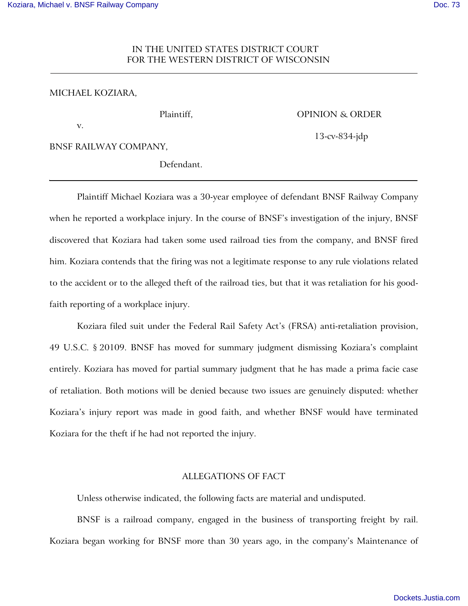# IN THE UNITED STATES DISTRICT COURT FOR THE WESTERN DISTRICT OF WISCONSIN

### MICHAEL KOZIARA,

v.

Plaintiff, **OPINION & ORDER** 

13-cv-834-jdp

BNSF RAILWAY COMPANY,

Defendant.

Plaintiff Michael Koziara was a 30-year employee of defendant BNSF Railway Company when he reported a workplace injury. In the course of BNSF's investigation of the injury, BNSF discovered that Koziara had taken some used railroad ties from the company, and BNSF fired him. Koziara contends that the firing was not a legitimate response to any rule violations related to the accident or to the alleged theft of the railroad ties, but that it was retaliation for his goodfaith reporting of a workplace injury.

Koziara filed suit under the Federal Rail Safety Act's (FRSA) anti-retaliation provision, 49 U.S.C. § 20109. BNSF has moved for summary judgment dismissing Koziara's complaint entirely. Koziara has moved for partial summary judgment that he has made a prima facie case of retaliation. Both motions will be denied because two issues are genuinely disputed: whether Koziara's injury report was made in good faith, and whether BNSF would have terminated Koziara for the theft if he had not reported the injury.

# ALLEGATIONS OF FACT

Unless otherwise indicated, the following facts are material and undisputed.

BNSF is a railroad company, engaged in the business of transporting freight by rail. Koziara began working for BNSF more than 30 years ago, in the company's Maintenance of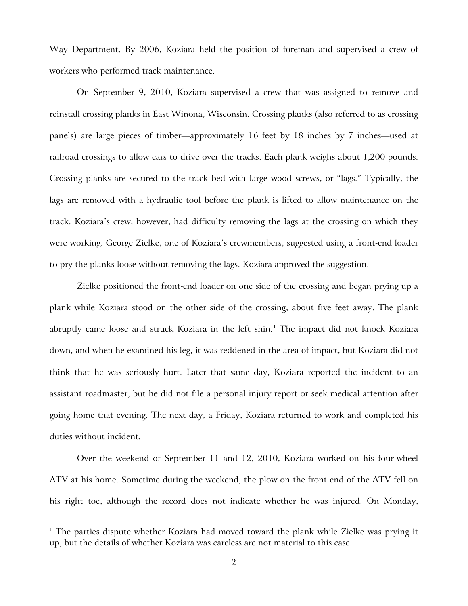Way Department. By 2006, Koziara held the position of foreman and supervised a crew of workers who performed track maintenance.

On September 9, 2010, Koziara supervised a crew that was assigned to remove and reinstall crossing planks in East Winona, Wisconsin. Crossing planks (also referred to as crossing panels) are large pieces of timber—approximately 16 feet by 18 inches by 7 inches—used at railroad crossings to allow cars to drive over the tracks. Each plank weighs about 1,200 pounds. Crossing planks are secured to the track bed with large wood screws, or "lags." Typically, the lags are removed with a hydraulic tool before the plank is lifted to allow maintenance on the track. Koziara's crew, however, had difficulty removing the lags at the crossing on which they were working. George Zielke, one of Koziara's crewmembers, suggested using a front-end loader to pry the planks loose without removing the lags. Koziara approved the suggestion.

Zielke positioned the front-end loader on one side of the crossing and began prying up a plank while Koziara stood on the other side of the crossing, about five feet away. The plank abruptly came loose and struck Koziara in the left shin.<sup>[1](#page-1-0)</sup> The impact did not knock Koziara down, and when he examined his leg, it was reddened in the area of impact, but Koziara did not think that he was seriously hurt. Later that same day, Koziara reported the incident to an assistant roadmaster, but he did not file a personal injury report or seek medical attention after going home that evening. The next day, a Friday, Koziara returned to work and completed his duties without incident.

Over the weekend of September 11 and 12, 2010, Koziara worked on his four-wheel ATV at his home. Sometime during the weekend, the plow on the front end of the ATV fell on his right toe, although the record does not indicate whether he was injured. On Monday,

<span id="page-1-0"></span><sup>&</sup>lt;sup>1</sup> The parties dispute whether Koziara had moved toward the plank while Zielke was prying it up, but the details of whether Koziara was careless are not material to this case.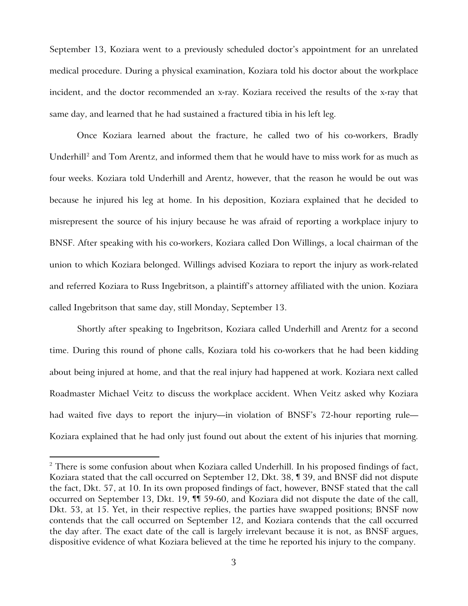September 13, Koziara went to a previously scheduled doctor's appointment for an unrelated medical procedure. During a physical examination, Koziara told his doctor about the workplace incident, and the doctor recommended an x-ray. Koziara received the results of the x-ray that same day, and learned that he had sustained a fractured tibia in his left leg.

Once Koziara learned about the fracture, he called two of his co-workers, Bradly Underhill<sup>[2](#page-2-0)</sup> and Tom Arentz, and informed them that he would have to miss work for as much as four weeks. Koziara told Underhill and Arentz, however, that the reason he would be out was because he injured his leg at home. In his deposition, Koziara explained that he decided to misrepresent the source of his injury because he was afraid of reporting a workplace injury to BNSF. After speaking with his co-workers, Koziara called Don Willings, a local chairman of the union to which Koziara belonged. Willings advised Koziara to report the injury as work-related and referred Koziara to Russ Ingebritson, a plaintiff's attorney affiliated with the union. Koziara called Ingebritson that same day, still Monday, September 13.

Shortly after speaking to Ingebritson, Koziara called Underhill and Arentz for a second time. During this round of phone calls, Koziara told his co-workers that he had been kidding about being injured at home, and that the real injury had happened at work. Koziara next called Roadmaster Michael Veitz to discuss the workplace accident. When Veitz asked why Koziara had waited five days to report the injury—in violation of BNSF's 72-hour reporting rule— Koziara explained that he had only just found out about the extent of his injuries that morning.

<span id="page-2-0"></span> $2$  There is some confusion about when Koziara called Underhill. In his proposed findings of fact, Koziara stated that the call occurred on September 12, Dkt. 38, ¶ 39, and BNSF did not dispute the fact, Dkt. 57, at 10. In its own proposed findings of fact, however, BNSF stated that the call occurred on September 13, Dkt. 19, ¶¶ 59-60, and Koziara did not dispute the date of the call, Dkt. 53, at 15. Yet, in their respective replies, the parties have swapped positions; BNSF now contends that the call occurred on September 12, and Koziara contends that the call occurred the day after. The exact date of the call is largely irrelevant because it is not, as BNSF argues, dispositive evidence of what Koziara believed at the time he reported his injury to the company.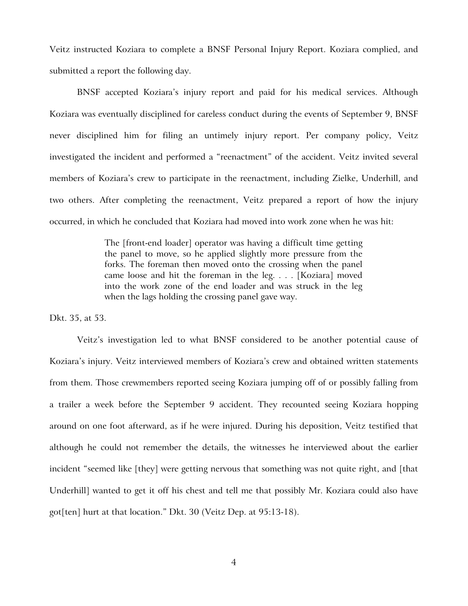Veitz instructed Koziara to complete a BNSF Personal Injury Report. Koziara complied, and submitted a report the following day.

BNSF accepted Koziara's injury report and paid for his medical services. Although Koziara was eventually disciplined for careless conduct during the events of September 9, BNSF never disciplined him for filing an untimely injury report. Per company policy, Veitz investigated the incident and performed a "reenactment" of the accident. Veitz invited several members of Koziara's crew to participate in the reenactment, including Zielke, Underhill, and two others. After completing the reenactment, Veitz prepared a report of how the injury occurred, in which he concluded that Koziara had moved into work zone when he was hit:

> The [front-end loader] operator was having a difficult time getting the panel to move, so he applied slightly more pressure from the forks. The foreman then moved onto the crossing when the panel came loose and hit the foreman in the leg. . . . [Koziara] moved into the work zone of the end loader and was struck in the leg when the lags holding the crossing panel gave way.

Dkt. 35, at 53.

Veitz's investigation led to what BNSF considered to be another potential cause of Koziara's injury. Veitz interviewed members of Koziara's crew and obtained written statements from them. Those crewmembers reported seeing Koziara jumping off of or possibly falling from a trailer a week before the September 9 accident. They recounted seeing Koziara hopping around on one foot afterward, as if he were injured. During his deposition, Veitz testified that although he could not remember the details, the witnesses he interviewed about the earlier incident "seemed like [they] were getting nervous that something was not quite right, and [that Underhill] wanted to get it off his chest and tell me that possibly Mr. Koziara could also have got[ten] hurt at that location." Dkt. 30 (Veitz Dep. at 95:13-18).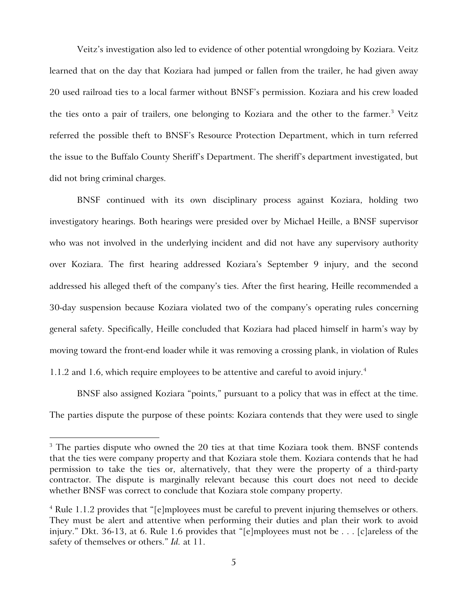Veitz's investigation also led to evidence of other potential wrongdoing by Koziara. Veitz learned that on the day that Koziara had jumped or fallen from the trailer, he had given away 20 used railroad ties to a local farmer without BNSF's permission. Koziara and his crew loaded the ties onto a pair of trailers, one belonging to Koziara and the other to the farmer.<sup>[3](#page-4-0)</sup> Veitz referred the possible theft to BNSF's Resource Protection Department, which in turn referred the issue to the Buffalo County Sheriff's Department. The sheriff's department investigated, but did not bring criminal charges.

BNSF continued with its own disciplinary process against Koziara, holding two investigatory hearings. Both hearings were presided over by Michael Heille, a BNSF supervisor who was not involved in the underlying incident and did not have any supervisory authority over Koziara. The first hearing addressed Koziara's September 9 injury, and the second addressed his alleged theft of the company's ties. After the first hearing, Heille recommended a 30-day suspension because Koziara violated two of the company's operating rules concerning general safety. Specifically, Heille concluded that Koziara had placed himself in harm's way by moving toward the front-end loader while it was removing a crossing plank, in violation of Rules 1.1.2 and 1.6, which require employees to be attentive and careful to avoid injury. [4](#page-4-1)

BNSF also assigned Koziara "points," pursuant to a policy that was in effect at the time. The parties dispute the purpose of these points: Koziara contends that they were used to single

<span id="page-4-0"></span> $3$  The parties dispute who owned the 20 ties at that time Koziara took them. BNSF contends that the ties were company property and that Koziara stole them. Koziara contends that he had permission to take the ties or, alternatively, that they were the property of a third-party contractor. The dispute is marginally relevant because this court does not need to decide whether BNSF was correct to conclude that Koziara stole company property.

<span id="page-4-1"></span> $4$  Rule 1.1.2 provides that "[e]mployees must be careful to prevent injuring themselves or others. They must be alert and attentive when performing their duties and plan their work to avoid injury." Dkt. 36-13, at 6. Rule 1.6 provides that "[e]mployees must not be . . . [c]areless of the safety of themselves or others." *Id.* at 11.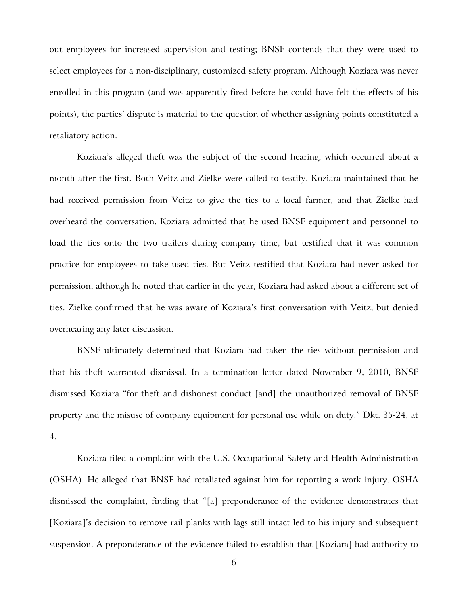out employees for increased supervision and testing; BNSF contends that they were used to select employees for a non-disciplinary, customized safety program. Although Koziara was never enrolled in this program (and was apparently fired before he could have felt the effects of his points), the parties' dispute is material to the question of whether assigning points constituted a retaliatory action.

Koziara's alleged theft was the subject of the second hearing, which occurred about a month after the first. Both Veitz and Zielke were called to testify. Koziara maintained that he had received permission from Veitz to give the ties to a local farmer, and that Zielke had overheard the conversation. Koziara admitted that he used BNSF equipment and personnel to load the ties onto the two trailers during company time, but testified that it was common practice for employees to take used ties. But Veitz testified that Koziara had never asked for permission, although he noted that earlier in the year, Koziara had asked about a different set of ties. Zielke confirmed that he was aware of Koziara's first conversation with Veitz, but denied overhearing any later discussion.

BNSF ultimately determined that Koziara had taken the ties without permission and that his theft warranted dismissal. In a termination letter dated November 9, 2010, BNSF dismissed Koziara "for theft and dishonest conduct [and] the unauthorized removal of BNSF property and the misuse of company equipment for personal use while on duty." Dkt. 35-24, at 4.

Koziara filed a complaint with the U.S. Occupational Safety and Health Administration (OSHA). He alleged that BNSF had retaliated against him for reporting a work injury. OSHA dismissed the complaint, finding that "[a] preponderance of the evidence demonstrates that [Koziara]'s decision to remove rail planks with lags still intact led to his injury and subsequent suspension. A preponderance of the evidence failed to establish that [Koziara] had authority to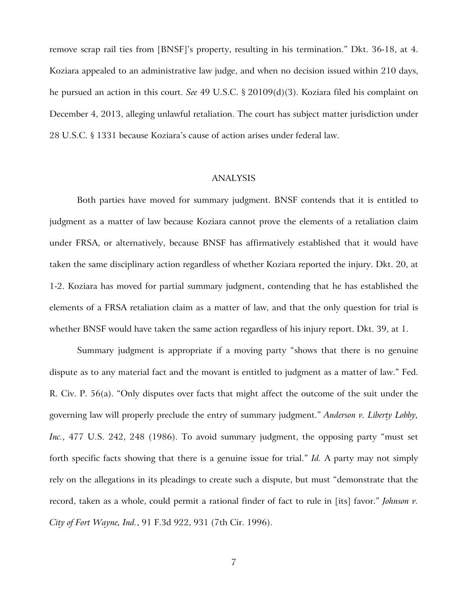remove scrap rail ties from [BNSF]'s property, resulting in his termination." Dkt. 36-18, at 4. Koziara appealed to an administrative law judge, and when no decision issued within 210 days, he pursued an action in this court. *See* 49 U.S.C. § 20109(d)(3). Koziara filed his complaint on December 4, 2013, alleging unlawful retaliation. The court has subject matter jurisdiction under 28 U.S.C. § 1331 because Koziara's cause of action arises under federal law.

### ANALYSIS

Both parties have moved for summary judgment. BNSF contends that it is entitled to judgment as a matter of law because Koziara cannot prove the elements of a retaliation claim under FRSA, or alternatively, because BNSF has affirmatively established that it would have taken the same disciplinary action regardless of whether Koziara reported the injury. Dkt. 20, at 1-2. Koziara has moved for partial summary judgment, contending that he has established the elements of a FRSA retaliation claim as a matter of law, and that the only question for trial is whether BNSF would have taken the same action regardless of his injury report. Dkt. 39, at 1.

Summary judgment is appropriate if a moving party "shows that there is no genuine dispute as to any material fact and the movant is entitled to judgment as a matter of law." Fed. R. Civ. P. 56(a). "Only disputes over facts that might affect the outcome of the suit under the governing law will properly preclude the entry of summary judgment." *Anderson v. Liberty Lobby, Inc.*, 477 U.S. 242, 248 (1986). To avoid summary judgment, the opposing party "must set forth specific facts showing that there is a genuine issue for trial." *Id.* A party may not simply rely on the allegations in its pleadings to create such a dispute, but must "demonstrate that the record, taken as a whole, could permit a rational finder of fact to rule in [its] favor." *Johnson v. City of Fort Wayne, Ind.*, 91 F.3d 922, 931 (7th Cir. 1996).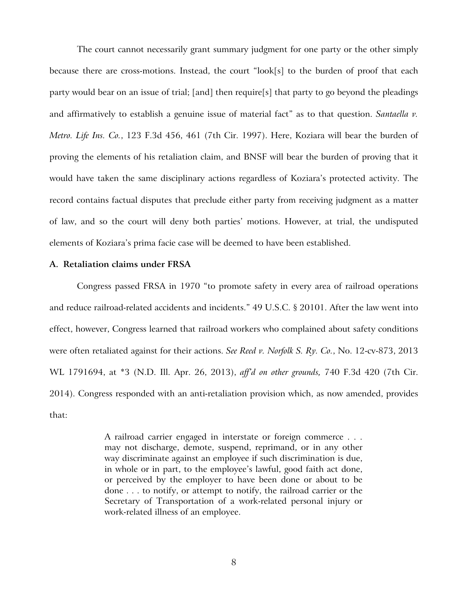The court cannot necessarily grant summary judgment for one party or the other simply because there are cross-motions. Instead, the court "look[s] to the burden of proof that each party would bear on an issue of trial; [and] then require[s] that party to go beyond the pleadings and affirmatively to establish a genuine issue of material fact" as to that question. *Santaella v. Metro. Life Ins. Co.*, 123 F.3d 456, 461 (7th Cir. 1997). Here, Koziara will bear the burden of proving the elements of his retaliation claim, and BNSF will bear the burden of proving that it would have taken the same disciplinary actions regardless of Koziara's protected activity. The record contains factual disputes that preclude either party from receiving judgment as a matter of law, and so the court will deny both parties' motions. However, at trial, the undisputed elements of Koziara's prima facie case will be deemed to have been established.

### **A. Retaliation claims under FRSA**

Congress passed FRSA in 1970 "to promote safety in every area of railroad operations and reduce railroad-related accidents and incidents." 49 U.S.C. § 20101. After the law went into effect, however, Congress learned that railroad workers who complained about safety conditions were often retaliated against for their actions. *See Reed v. Norfolk S. Ry. Co.*, No. 12-cv-873, 2013 WL 1791694, at \*3 (N.D. Ill. Apr. 26, 2013), *aff'd on other grounds,* 740 F.3d 420 (7th Cir. 2014). Congress responded with an anti-retaliation provision which, as now amended, provides that:

> A railroad carrier engaged in interstate or foreign commerce . . . may not discharge, demote, suspend, reprimand, or in any other way discriminate against an employee if such discrimination is due, in whole or in part, to the employee's lawful, good faith act done, or perceived by the employer to have been done or about to be done . . . to notify, or attempt to notify, the railroad carrier or the Secretary of Transportation of a work-related personal injury or work-related illness of an employee.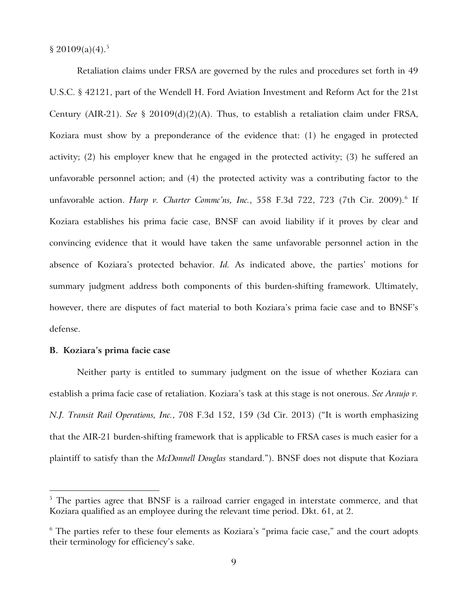$$20109(a)(4).$ <sup>[5](#page-8-0)</sup>

Retaliation claims under FRSA are governed by the rules and procedures set forth in 49 U.S.C. § 42121, part of the Wendell H. Ford Aviation Investment and Reform Act for the 21st Century (AIR-21). *See* § 20109(d)(2)(A). Thus, to establish a retaliation claim under FRSA, Koziara must show by a preponderance of the evidence that: (1) he engaged in protected activity; (2) his employer knew that he engaged in the protected activity; (3) he suffered an unfavorable personnel action; and (4) the protected activity was a contributing factor to the unfavorable action. *Harp v. Charter Commc'ns, Inc.*, 558 F.3d 722, 723 (7th Cir. 2009). [6](#page-8-1) If Koziara establishes his prima facie case, BNSF can avoid liability if it proves by clear and convincing evidence that it would have taken the same unfavorable personnel action in the absence of Koziara's protected behavior. *Id.* As indicated above, the parties' motions for summary judgment address both components of this burden-shifting framework. Ultimately, however, there are disputes of fact material to both Koziara's prima facie case and to BNSF's defense.

## **B. Koziara's prima facie case**

 $\overline{a}$ 

Neither party is entitled to summary judgment on the issue of whether Koziara can establish a prima facie case of retaliation. Koziara's task at this stage is not onerous. *See Araujo v. N.J. Transit Rail Operations, Inc.*, 708 F.3d 152, 159 (3d Cir. 2013) ("It is worth emphasizing that the AIR-21 burden-shifting framework that is applicable to FRSA cases is much easier for a plaintiff to satisfy than the *McDonnell Douglas* standard."). BNSF does not dispute that Koziara

<span id="page-8-0"></span> $5$  The parties agree that BNSF is a railroad carrier engaged in interstate commerce, and that Koziara qualified as an employee during the relevant time period. Dkt. 61, at 2.

<span id="page-8-1"></span> $6$  The parties refer to these four elements as Koziara's "prima facie case," and the court adopts their terminology for efficiency's sake.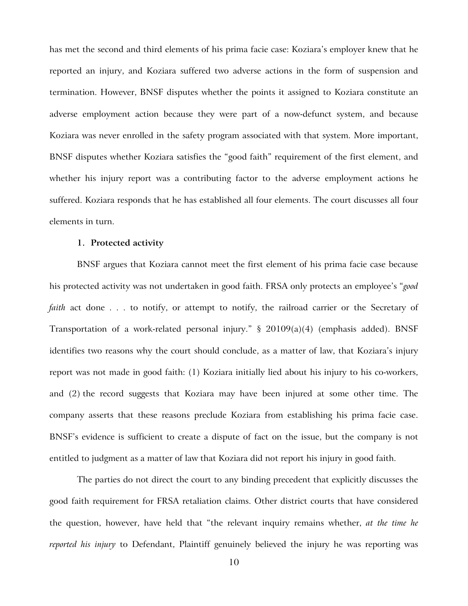has met the second and third elements of his prima facie case: Koziara's employer knew that he reported an injury, and Koziara suffered two adverse actions in the form of suspension and termination. However, BNSF disputes whether the points it assigned to Koziara constitute an adverse employment action because they were part of a now-defunct system, and because Koziara was never enrolled in the safety program associated with that system. More important, BNSF disputes whether Koziara satisfies the "good faith" requirement of the first element, and whether his injury report was a contributing factor to the adverse employment actions he suffered. Koziara responds that he has established all four elements. The court discusses all four elements in turn.

#### **1. Protected activity**

BNSF argues that Koziara cannot meet the first element of his prima facie case because his protected activity was not undertaken in good faith. FRSA only protects an employee's "*good faith* act done . . . to notify, or attempt to notify, the railroad carrier or the Secretary of Transportation of a work-related personal injury." § 20109(a)(4) (emphasis added). BNSF identifies two reasons why the court should conclude, as a matter of law, that Koziara's injury report was not made in good faith: (1) Koziara initially lied about his injury to his co-workers, and (2) the record suggests that Koziara may have been injured at some other time. The company asserts that these reasons preclude Koziara from establishing his prima facie case. BNSF's evidence is sufficient to create a dispute of fact on the issue, but the company is not entitled to judgment as a matter of law that Koziara did not report his injury in good faith.

The parties do not direct the court to any binding precedent that explicitly discusses the good faith requirement for FRSA retaliation claims. Other district courts that have considered the question, however, have held that "the relevant inquiry remains whether, *at the time he reported his injury* to Defendant, Plaintiff genuinely believed the injury he was reporting was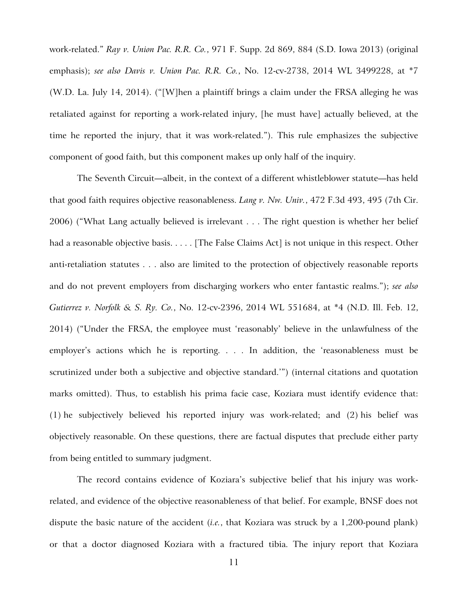work-related." *Ray v. Union Pac. R.R. Co.*, 971 F. Supp. 2d 869, 884 (S.D. Iowa 2013) (original emphasis); *see also Davis v. Union Pac. R.R. Co.*, No. 12-cv-2738, 2014 WL 3499228, at \*7 (W.D. La. July 14, 2014). ("[W]hen a plaintiff brings a claim under the FRSA alleging he was retaliated against for reporting a work-related injury, [he must have] actually believed, at the time he reported the injury, that it was work-related."). This rule emphasizes the subjective component of good faith, but this component makes up only half of the inquiry.

The Seventh Circuit—albeit, in the context of a different whistleblower statute—has held that good faith requires objective reasonableness. *Lang v. Nw. Univ.*, 472 F.3d 493, 495 (7th Cir. 2006) ("What Lang actually believed is irrelevant . . . The right question is whether her belief had a reasonable objective basis. . . . . [The False Claims Act] is not unique in this respect. Other anti-retaliation statutes . . . also are limited to the protection of objectively reasonable reports and do not prevent employers from discharging workers who enter fantastic realms."); *see also Gutierrez v. Norfolk & S. Ry. Co.*, No. 12-cv-2396, 2014 WL 551684, at \*4 (N.D. Ill. Feb. 12, 2014) ("Under the FRSA, the employee must 'reasonably' believe in the unlawfulness of the employer's actions which he is reporting. . . . In addition, the 'reasonableness must be scrutinized under both a subjective and objective standard.'") (internal citations and quotation marks omitted). Thus, to establish his prima facie case, Koziara must identify evidence that: (1) he subjectively believed his reported injury was work-related; and (2) his belief was objectively reasonable. On these questions, there are factual disputes that preclude either party from being entitled to summary judgment.

The record contains evidence of Koziara's subjective belief that his injury was workrelated, and evidence of the objective reasonableness of that belief. For example, BNSF does not dispute the basic nature of the accident (*i.e.*, that Koziara was struck by a 1,200-pound plank) or that a doctor diagnosed Koziara with a fractured tibia. The injury report that Koziara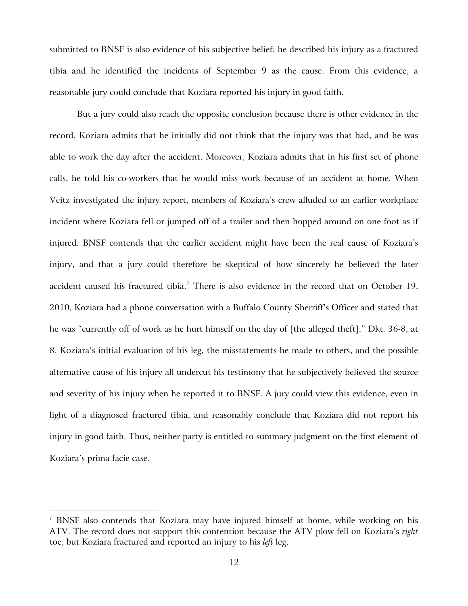submitted to BNSF is also evidence of his subjective belief; he described his injury as a fractured tibia and he identified the incidents of September 9 as the cause. From this evidence, a reasonable jury could conclude that Koziara reported his injury in good faith.

But a jury could also reach the opposite conclusion because there is other evidence in the record. Koziara admits that he initially did not think that the injury was that bad, and he was able to work the day after the accident. Moreover, Koziara admits that in his first set of phone calls, he told his co-workers that he would miss work because of an accident at home. When Veitz investigated the injury report, members of Koziara's crew alluded to an earlier workplace incident where Koziara fell or jumped off of a trailer and then hopped around on one foot as if injured. BNSF contends that the earlier accident might have been the real cause of Koziara's injury, and that a jury could therefore be skeptical of how sincerely he believed the later accident caused his fractured tibia.<sup>[7](#page-11-0)</sup> There is also evidence in the record that on October 19, 2010, Koziara had a phone conversation with a Buffalo County Sherriff's Officer and stated that he was "currently off of work as he hurt himself on the day of [the alleged theft]." Dkt. 36-8, at 8. Koziara's initial evaluation of his leg, the misstatements he made to others, and the possible alternative cause of his injury all undercut his testimony that he subjectively believed the source and severity of his injury when he reported it to BNSF. A jury could view this evidence, even in light of a diagnosed fractured tibia, and reasonably conclude that Koziara did not report his injury in good faith. Thus, neither party is entitled to summary judgment on the first element of Koziara's prima facie case.

<span id="page-11-0"></span><sup>&</sup>lt;sup>7</sup> BNSF also contends that Koziara may have injured himself at home, while working on his ATV. The record does not support this contention because the ATV plow fell on Koziara's *right* toe, but Koziara fractured and reported an injury to his *left* leg.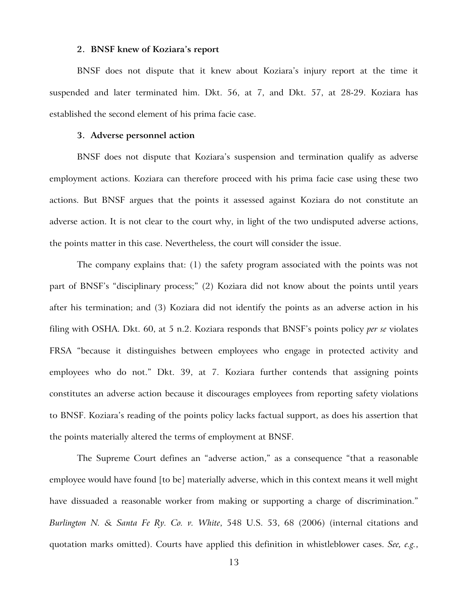#### **2. BNSF knew of Koziara's report**

BNSF does not dispute that it knew about Koziara's injury report at the time it suspended and later terminated him. Dkt. 56, at 7, and Dkt. 57, at 28-29. Koziara has established the second element of his prima facie case.

#### **3. Adverse personnel action**

BNSF does not dispute that Koziara's suspension and termination qualify as adverse employment actions. Koziara can therefore proceed with his prima facie case using these two actions. But BNSF argues that the points it assessed against Koziara do not constitute an adverse action. It is not clear to the court why, in light of the two undisputed adverse actions, the points matter in this case. Nevertheless, the court will consider the issue.

The company explains that: (1) the safety program associated with the points was not part of BNSF's "disciplinary process;" (2) Koziara did not know about the points until years after his termination; and (3) Koziara did not identify the points as an adverse action in his filing with OSHA. Dkt. 60, at 5 n.2. Koziara responds that BNSF's points policy *per se* violates FRSA "because it distinguishes between employees who engage in protected activity and employees who do not." Dkt. 39, at 7. Koziara further contends that assigning points constitutes an adverse action because it discourages employees from reporting safety violations to BNSF. Koziara's reading of the points policy lacks factual support, as does his assertion that the points materially altered the terms of employment at BNSF.

The Supreme Court defines an "adverse action," as a consequence "that a reasonable employee would have found [to be] materially adverse, which in this context means it well might have dissuaded a reasonable worker from making or supporting a charge of discrimination." *Burlington N. & Santa Fe Ry. Co. v. White*, 548 U.S. 53, 68 (2006) (internal citations and quotation marks omitted). Courts have applied this definition in whistleblower cases. *See, e.g.*,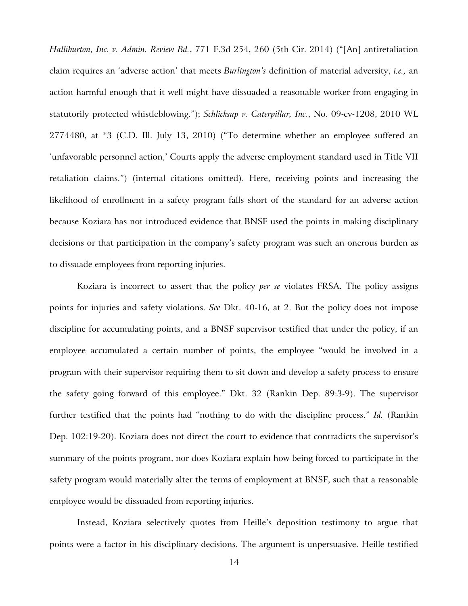*Halliburton, Inc. v. Admin. Review Bd.*, 771 F.3d 254, 260 (5th Cir. 2014) ("[An] antiretaliation claim requires an 'adverse action' that meets *Burlington's* definition of material adversity, *i.e.,* an action harmful enough that it well might have dissuaded a reasonable worker from engaging in statutorily protected whistleblowing."); *Schlicksup v. Caterpillar, Inc.*, No. 09-cv-1208, 2010 WL 2774480, at \*3 (C.D. Ill. July 13, 2010) ("To determine whether an employee suffered an 'unfavorable personnel action,' Courts apply the adverse employment standard used in Title VII retaliation claims.") (internal citations omitted). Here, receiving points and increasing the likelihood of enrollment in a safety program falls short of the standard for an adverse action because Koziara has not introduced evidence that BNSF used the points in making disciplinary decisions or that participation in the company's safety program was such an onerous burden as to dissuade employees from reporting injuries.

Koziara is incorrect to assert that the policy *per se* violates FRSA. The policy assigns points for injuries and safety violations. *See* Dkt. 40-16, at 2. But the policy does not impose discipline for accumulating points, and a BNSF supervisor testified that under the policy, if an employee accumulated a certain number of points, the employee "would be involved in a program with their supervisor requiring them to sit down and develop a safety process to ensure the safety going forward of this employee." Dkt. 32 (Rankin Dep. 89:3-9). The supervisor further testified that the points had "nothing to do with the discipline process." *Id.* (Rankin Dep. 102:19-20). Koziara does not direct the court to evidence that contradicts the supervisor's summary of the points program, nor does Koziara explain how being forced to participate in the safety program would materially alter the terms of employment at BNSF, such that a reasonable employee would be dissuaded from reporting injuries.

Instead, Koziara selectively quotes from Heille's deposition testimony to argue that points were a factor in his disciplinary decisions. The argument is unpersuasive. Heille testified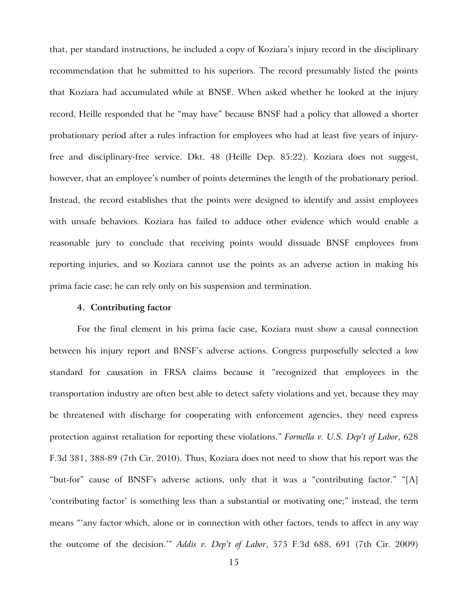that, per standard instructions, he included a copy of Koziara's injury record in the disciplinary recommendation that he submitted to his superiors. The record presumably listed the points that Koziara had accumulated while at BNSF. When asked whether he looked at the injury record, Heille responded that he "may have" because BNSF had a policy that allowed a shorter probationary period after a rules infraction for employees who had at least five years of injuryfree and disciplinary-free service. Dkt. 48 (Heille Dep. 85:22). Koziara does not suggest, however, that an employee's number of points determines the length of the probationary period. Instead, the record establishes that the points were designed to identify and assist employees with unsafe behaviors. Koziara has failed to adduce other evidence which would enable a reasonable jury to conclude that receiving points would dissuade BNSF employees from reporting injuries, and so Koziara cannot use the points as an adverse action in making his prima facie case; he can rely only on his suspension and termination.

#### **4. Contributing factor**

For the final element in his prima facie case, Koziara must show a causal connection between his injury report and BNSF's adverse actions. Congress purposefully selected a low standard for causation in FRSA claims because it "recognized that employees in the transportation industry are often best able to detect safety violations and yet, because they may be threatened with discharge for cooperating with enforcement agencies, they need express protection against retaliation for reporting these violations." *Formella v. U.S. Dep't of Labor*, 628 F.3d 381, 388-89 (7th Cir. 2010). Thus, Koziara does not need to show that his report was the "but-for" cause of BNSF's adverse actions, only that it was a "contributing factor." "[A] 'contributing factor' is something less than a substantial or motivating one;" instead, the term means "'any factor which, alone or in connection with other factors, tends to affect in any way the outcome of the decision.'" *Addis v. Dep't of Labor*, 575 F.3d 688, 691 (7th Cir. 2009)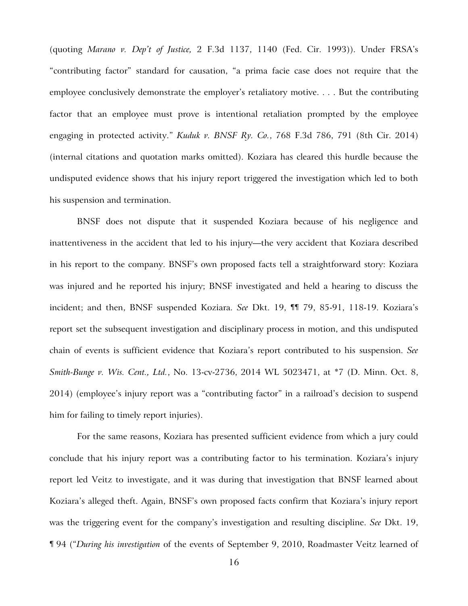(quoting *Marano v. Dep't of Justice,* 2 F.3d 1137, 1140 (Fed. Cir. 1993)). Under FRSA's "contributing factor" standard for causation, "a prima facie case does not require that the employee conclusively demonstrate the employer's retaliatory motive. . . . But the contributing factor that an employee must prove is intentional retaliation prompted by the employee engaging in protected activity." *Kuduk v. BNSF Ry. Co.*, 768 F.3d 786, 791 (8th Cir. 2014) (internal citations and quotation marks omitted). Koziara has cleared this hurdle because the undisputed evidence shows that his injury report triggered the investigation which led to both his suspension and termination.

BNSF does not dispute that it suspended Koziara because of his negligence and inattentiveness in the accident that led to his injury—the very accident that Koziara described in his report to the company. BNSF's own proposed facts tell a straightforward story: Koziara was injured and he reported his injury; BNSF investigated and held a hearing to discuss the incident; and then, BNSF suspended Koziara. *See* Dkt. 19, ¶¶ 79, 85-91, 118-19. Koziara's report set the subsequent investigation and disciplinary process in motion, and this undisputed chain of events is sufficient evidence that Koziara's report contributed to his suspension. *See Smith-Bunge v. Wis. Cent., Ltd.*, No. 13-cv-2736, 2014 WL 5023471, at \*7 (D. Minn. Oct. 8, 2014) (employee's injury report was a "contributing factor" in a railroad's decision to suspend him for failing to timely report injuries).

For the same reasons, Koziara has presented sufficient evidence from which a jury could conclude that his injury report was a contributing factor to his termination. Koziara's injury report led Veitz to investigate, and it was during that investigation that BNSF learned about Koziara's alleged theft. Again, BNSF's own proposed facts confirm that Koziara's injury report was the triggering event for the company's investigation and resulting discipline. *See* Dkt. 19, ¶ 94 ("*During his investigation* of the events of September 9, 2010, Roadmaster Veitz learned of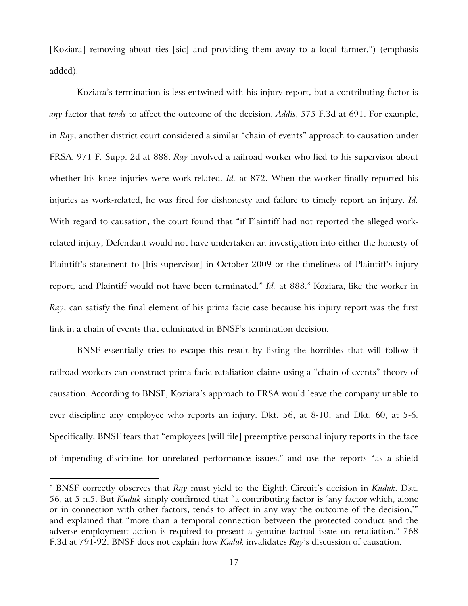[Koziara] removing about ties [sic] and providing them away to a local farmer.") (emphasis added).

Koziara's termination is less entwined with his injury report, but a contributing factor is *any* factor that *tends* to affect the outcome of the decision. *Addis*, 575 F.3d at 691. For example, in *Ray*, another district court considered a similar "chain of events" approach to causation under FRSA. 971 F. Supp. 2d at 888. *Ray* involved a railroad worker who lied to his supervisor about whether his knee injuries were work-related. *Id.* at 872. When the worker finally reported his injuries as work-related, he was fired for dishonesty and failure to timely report an injury. *Id.* With regard to causation, the court found that "if Plaintiff had not reported the alleged workrelated injury, Defendant would not have undertaken an investigation into either the honesty of Plaintiff's statement to [his supervisor] in October 2009 or the timeliness of Plaintiff's injury report, and Plaintiff would not have been terminated." *Id.* at [8](#page-16-0)88.<sup>8</sup> Koziara, like the worker in *Ray*, can satisfy the final element of his prima facie case because his injury report was the first link in a chain of events that culminated in BNSF's termination decision.

BNSF essentially tries to escape this result by listing the horribles that will follow if railroad workers can construct prima facie retaliation claims using a "chain of events" theory of causation. According to BNSF, Koziara's approach to FRSA would leave the company unable to ever discipline any employee who reports an injury. Dkt. 56, at 8-10, and Dkt. 60, at 5-6. Specifically, BNSF fears that "employees [will file] preemptive personal injury reports in the face of impending discipline for unrelated performance issues," and use the reports "as a shield

<span id="page-16-0"></span><sup>8</sup> BNSF correctly observes that *Ray* must yield to the Eighth Circuit's decision in *Kuduk*. Dkt. 56, at 5 n.5. But *Kuduk* simply confirmed that "a contributing factor is 'any factor which, alone or in connection with other factors, tends to affect in any way the outcome of the decision,'" and explained that "more than a temporal connection between the protected conduct and the adverse employment action is required to present a genuine factual issue on retaliation." 768 F.3d at 791-92. BNSF does not explain how *Kuduk* invalidates *Ray*'s discussion of causation.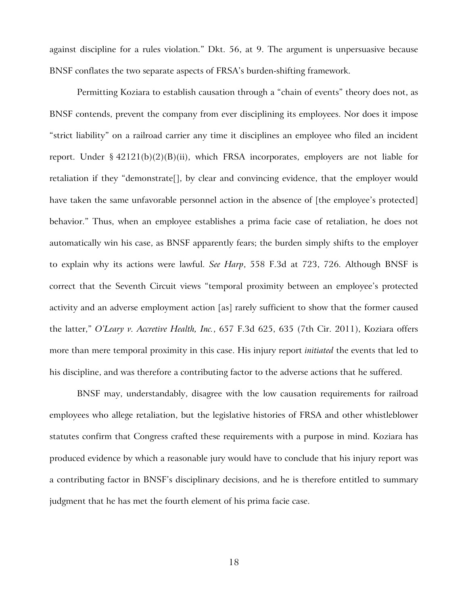against discipline for a rules violation." Dkt. 56, at 9. The argument is unpersuasive because BNSF conflates the two separate aspects of FRSA's burden-shifting framework.

Permitting Koziara to establish causation through a "chain of events" theory does not, as BNSF contends, prevent the company from ever disciplining its employees. Nor does it impose "strict liability" on a railroad carrier any time it disciplines an employee who filed an incident report. Under  $\S 42121(b)(2)(B)(ii)$ , which FRSA incorporates, employers are not liable for retaliation if they "demonstrate[], by clear and convincing evidence, that the employer would have taken the same unfavorable personnel action in the absence of [the employee's protected] behavior." Thus, when an employee establishes a prima facie case of retaliation, he does not automatically win his case, as BNSF apparently fears; the burden simply shifts to the employer to explain why its actions were lawful. *See Harp*, 558 F.3d at 723, 726. Although BNSF is correct that the Seventh Circuit views "temporal proximity between an employee's protected activity and an adverse employment action [as] rarely sufficient to show that the former caused the latter," *O'Leary v. Accretive Health, Inc.*, 657 F.3d 625, 635 (7th Cir. 2011), Koziara offers more than mere temporal proximity in this case. His injury report *initiated* the events that led to his discipline, and was therefore a contributing factor to the adverse actions that he suffered.

BNSF may, understandably, disagree with the low causation requirements for railroad employees who allege retaliation, but the legislative histories of FRSA and other whistleblower statutes confirm that Congress crafted these requirements with a purpose in mind. Koziara has produced evidence by which a reasonable jury would have to conclude that his injury report was a contributing factor in BNSF's disciplinary decisions, and he is therefore entitled to summary judgment that he has met the fourth element of his prima facie case.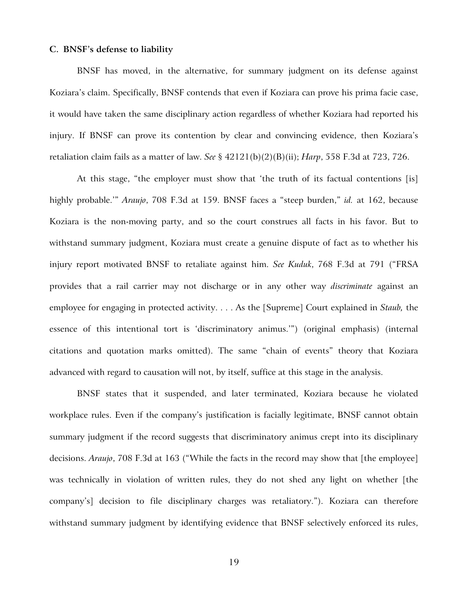#### **C. BNSF's defense to liability**

BNSF has moved, in the alternative, for summary judgment on its defense against Koziara's claim. Specifically, BNSF contends that even if Koziara can prove his prima facie case, it would have taken the same disciplinary action regardless of whether Koziara had reported his injury. If BNSF can prove its contention by clear and convincing evidence, then Koziara's retaliation claim fails as a matter of law. *See* § 42121(b)(2)(B)(ii); *Harp*, 558 F.3d at 723, 726.

At this stage, "the employer must show that 'the truth of its factual contentions [is] highly probable.'" *Araujo*, 708 F.3d at 159. BNSF faces a "steep burden," *id.* at 162, because Koziara is the non-moving party, and so the court construes all facts in his favor. But to withstand summary judgment, Koziara must create a genuine dispute of fact as to whether his injury report motivated BNSF to retaliate against him. *See Kuduk*, 768 F.3d at 791 ("FRSA provides that a rail carrier may not discharge or in any other way *discriminate* against an employee for engaging in protected activity. . . . As the [Supreme] Court explained in *Staub,* the essence of this intentional tort is 'discriminatory animus.'") (original emphasis) (internal citations and quotation marks omitted). The same "chain of events" theory that Koziara advanced with regard to causation will not, by itself, suffice at this stage in the analysis.

BNSF states that it suspended, and later terminated, Koziara because he violated workplace rules. Even if the company's justification is facially legitimate, BNSF cannot obtain summary judgment if the record suggests that discriminatory animus crept into its disciplinary decisions. *Araujo*, 708 F.3d at 163 ("While the facts in the record may show that [the employee] was technically in violation of written rules, they do not shed any light on whether [the company's] decision to file disciplinary charges was retaliatory."). Koziara can therefore withstand summary judgment by identifying evidence that BNSF selectively enforced its rules,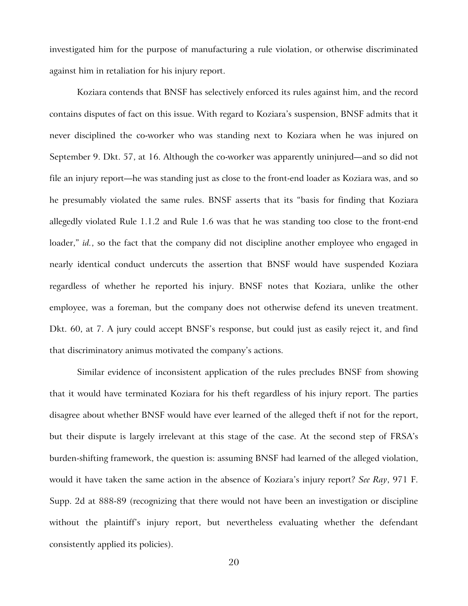investigated him for the purpose of manufacturing a rule violation, or otherwise discriminated against him in retaliation for his injury report.

Koziara contends that BNSF has selectively enforced its rules against him, and the record contains disputes of fact on this issue. With regard to Koziara's suspension, BNSF admits that it never disciplined the co-worker who was standing next to Koziara when he was injured on September 9. Dkt. 57, at 16. Although the co-worker was apparently uninjured—and so did not file an injury report—he was standing just as close to the front-end loader as Koziara was, and so he presumably violated the same rules. BNSF asserts that its "basis for finding that Koziara allegedly violated Rule 1.1.2 and Rule 1.6 was that he was standing too close to the front-end loader," *id.*, so the fact that the company did not discipline another employee who engaged in nearly identical conduct undercuts the assertion that BNSF would have suspended Koziara regardless of whether he reported his injury. BNSF notes that Koziara, unlike the other employee, was a foreman, but the company does not otherwise defend its uneven treatment. Dkt. 60, at 7. A jury could accept BNSF's response, but could just as easily reject it, and find that discriminatory animus motivated the company's actions.

Similar evidence of inconsistent application of the rules precludes BNSF from showing that it would have terminated Koziara for his theft regardless of his injury report. The parties disagree about whether BNSF would have ever learned of the alleged theft if not for the report, but their dispute is largely irrelevant at this stage of the case. At the second step of FRSA's burden-shifting framework, the question is: assuming BNSF had learned of the alleged violation, would it have taken the same action in the absence of Koziara's injury report? *See Ray*, 971 F. Supp. 2d at 888-89 (recognizing that there would not have been an investigation or discipline without the plaintiff's injury report, but nevertheless evaluating whether the defendant consistently applied its policies).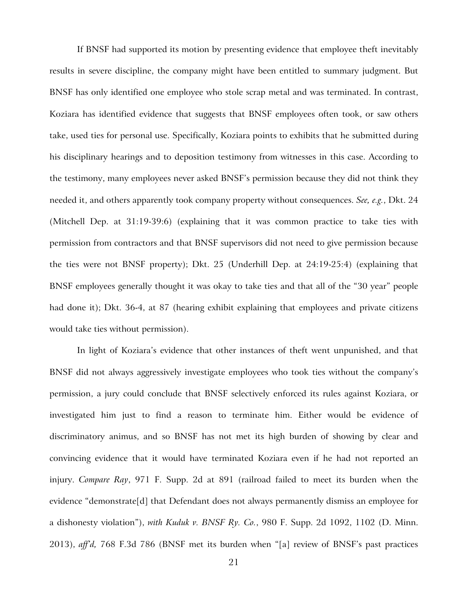If BNSF had supported its motion by presenting evidence that employee theft inevitably results in severe discipline, the company might have been entitled to summary judgment. But BNSF has only identified one employee who stole scrap metal and was terminated. In contrast, Koziara has identified evidence that suggests that BNSF employees often took, or saw others take, used ties for personal use. Specifically, Koziara points to exhibits that he submitted during his disciplinary hearings and to deposition testimony from witnesses in this case. According to the testimony, many employees never asked BNSF's permission because they did not think they needed it, and others apparently took company property without consequences. *See, e.g.*, Dkt. 24 (Mitchell Dep. at 31:19-39:6) (explaining that it was common practice to take ties with permission from contractors and that BNSF supervisors did not need to give permission because the ties were not BNSF property); Dkt. 25 (Underhill Dep. at 24:19-25:4) (explaining that BNSF employees generally thought it was okay to take ties and that all of the "30 year" people had done it); Dkt. 36-4, at 87 (hearing exhibit explaining that employees and private citizens would take ties without permission).

In light of Koziara's evidence that other instances of theft went unpunished, and that BNSF did not always aggressively investigate employees who took ties without the company's permission, a jury could conclude that BNSF selectively enforced its rules against Koziara, or investigated him just to find a reason to terminate him. Either would be evidence of discriminatory animus, and so BNSF has not met its high burden of showing by clear and convincing evidence that it would have terminated Koziara even if he had not reported an injury. *Compare Ray*, 971 F. Supp. 2d at 891 (railroad failed to meet its burden when the evidence "demonstrate[d] that Defendant does not always permanently dismiss an employee for a dishonesty violation"), *with Kuduk v. BNSF Ry. Co.*, 980 F. Supp. 2d 1092, 1102 (D. Minn. 2013), *aff'd,* 768 F.3d 786 (BNSF met its burden when "[a] review of BNSF's past practices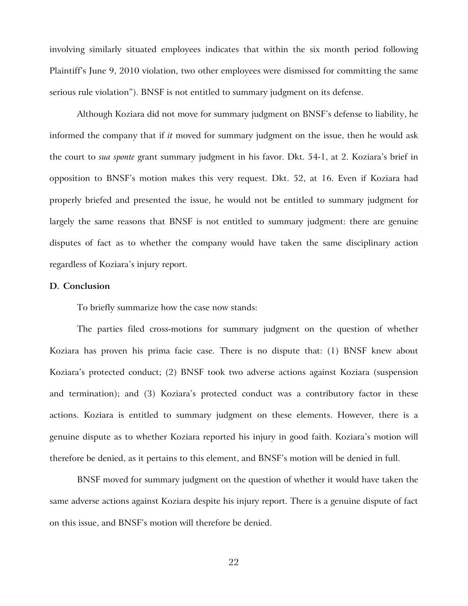involving similarly situated employees indicates that within the six month period following Plaintiff's June 9, 2010 violation, two other employees were dismissed for committing the same serious rule violation"). BNSF is not entitled to summary judgment on its defense.

Although Koziara did not move for summary judgment on BNSF's defense to liability, he informed the company that if *it* moved for summary judgment on the issue, then he would ask the court to *sua sponte* grant summary judgment in his favor. Dkt. 54-1, at 2. Koziara's brief in opposition to BNSF's motion makes this very request. Dkt. 52, at 16. Even if Koziara had properly briefed and presented the issue, he would not be entitled to summary judgment for largely the same reasons that BNSF is not entitled to summary judgment: there are genuine disputes of fact as to whether the company would have taken the same disciplinary action regardless of Koziara's injury report.

## **D. Conclusion**

To briefly summarize how the case now stands:

The parties filed cross-motions for summary judgment on the question of whether Koziara has proven his prima facie case. There is no dispute that: (1) BNSF knew about Koziara's protected conduct; (2) BNSF took two adverse actions against Koziara (suspension and termination); and (3) Koziara's protected conduct was a contributory factor in these actions. Koziara is entitled to summary judgment on these elements. However, there is a genuine dispute as to whether Koziara reported his injury in good faith. Koziara's motion will therefore be denied, as it pertains to this element, and BNSF's motion will be denied in full.

BNSF moved for summary judgment on the question of whether it would have taken the same adverse actions against Koziara despite his injury report. There is a genuine dispute of fact on this issue, and BNSF's motion will therefore be denied.

22